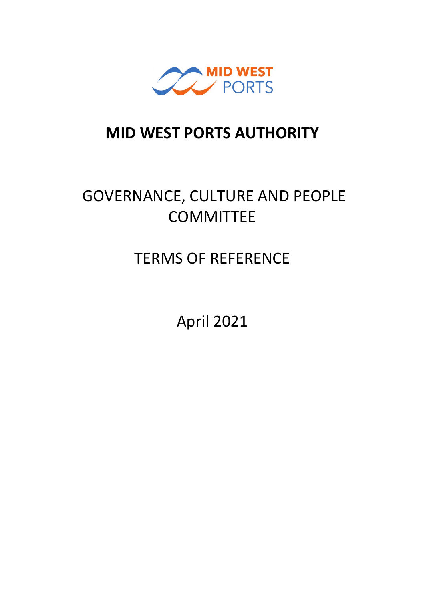

## **MID WEST PORTS AUTHORITY**

# GOVERNANCE, CULTURE AND PEOPLE **COMMITTEE**

# TERMS OF REFERENCE

April 2021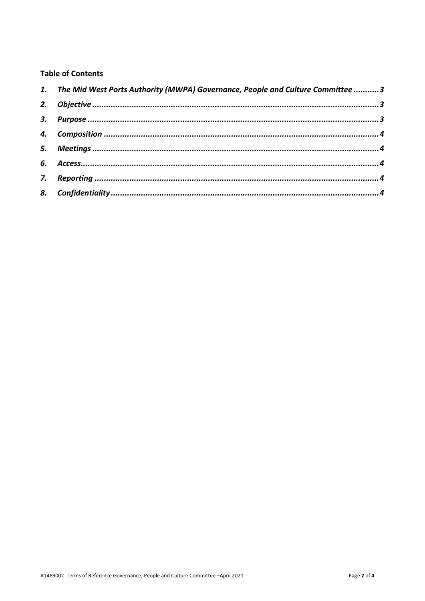### **Table of Contents**

| 1. The Mid West Ports Authority (MWPA) Governance, People and Culture Committee 3 |  |
|-----------------------------------------------------------------------------------|--|
|                                                                                   |  |
|                                                                                   |  |
|                                                                                   |  |
|                                                                                   |  |
|                                                                                   |  |
|                                                                                   |  |
|                                                                                   |  |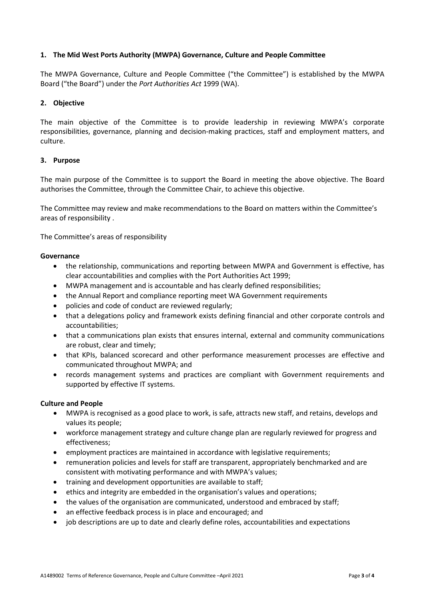#### <span id="page-2-0"></span>**1. The Mid West Ports Authority (MWPA) Governance, Culture and People Committee**

The MWPA Governance, Culture and People Committee ("the Committee") is established by the MWPA Board ("the Board") under the *Port Authorities Act* 1999 (WA).

### <span id="page-2-1"></span>**2. Objective**

The main objective of the Committee is to provide leadership in reviewing MWPA's corporate responsibilities, governance, planning and decision-making practices, staff and employment matters, and culture.

#### <span id="page-2-2"></span>**3. Purpose**

The main purpose of the Committee is to support the Board in meeting the above objective. The Board authorises the Committee, through the Committee Chair, to achieve this objective.

The Committee may review and make recommendations to the Board on matters within the Committee's areas of responsibility .

The Committee's areas of responsibility

#### **Governance**

- the relationship, communications and reporting between MWPA and Government is effective, has clear accountabilities and complies with the Port Authorities Act 1999;
- MWPA management and is accountable and has clearly defined responsibilities;
- the Annual Report and compliance reporting meet WA Government requirements
- policies and code of conduct are reviewed regularly;
- that a delegations policy and framework exists defining financial and other corporate controls and accountabilities;
- that a communications plan exists that ensures internal, external and community communications are robust, clear and timely;
- that KPIs, balanced scorecard and other performance measurement processes are effective and communicated throughout MWPA; and
- records management systems and practices are compliant with Government requirements and supported by effective IT systems.

#### **Culture and People**

- MWPA is recognised as a good place to work, is safe, attracts new staff, and retains, develops and values its people;
- workforce management strategy and culture change plan are regularly reviewed for progress and effectiveness;
- employment practices are maintained in accordance with legislative requirements;
- remuneration policies and levels for staff are transparent, appropriately benchmarked and are consistent with motivating performance and with MWPA's values;
- training and development opportunities are available to staff;
- ethics and integrity are embedded in the organisation's values and operations;
- the values of the organisation are communicated, understood and embraced by staff;
- an effective feedback process is in place and encouraged; and
- job descriptions are up to date and clearly define roles, accountabilities and expectations